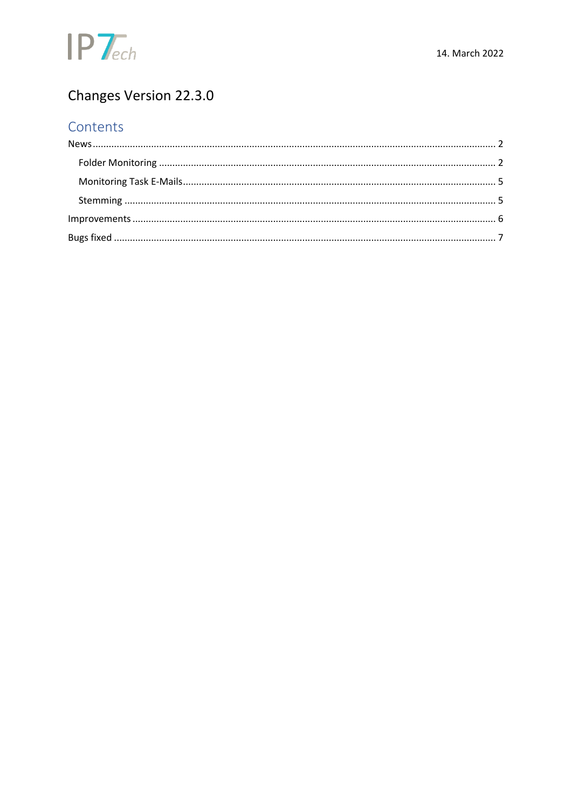

## Changes Version 22.3.0

## Contents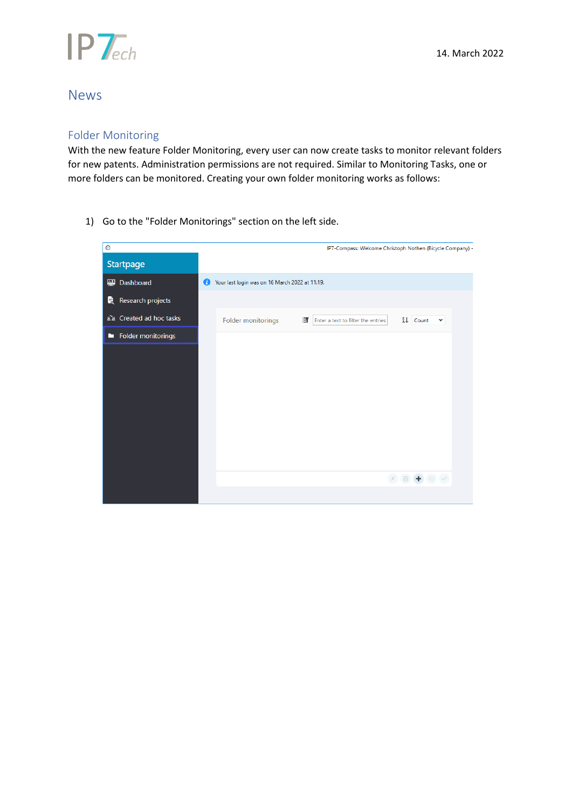

### <span id="page-1-0"></span>News

#### <span id="page-1-1"></span>Folder Monitoring

With the new feature Folder Monitoring, every user can now create tasks to monitor relevant folders for new patents. Administration permissions are not required. Similar to Monitoring Tasks, one or more folders can be monitored. Creating your own folder monitoring works as follows:

1) Go to the "Folder Monitorings" section on the left side.

| $\bullet$                 |   |                                                | IP7-Compass: Welcome Christoph Nothen (Bicycle Company) - |                                           |              |  |
|---------------------------|---|------------------------------------------------|-----------------------------------------------------------|-------------------------------------------|--------------|--|
| Startpage                 |   |                                                |                                                           |                                           |              |  |
| Dashboard<br>$\mathbf{H}$ | Œ | Your last login was on 16 March 2022 at 11:19. |                                                           |                                           |              |  |
| R<br>Research projects    |   |                                                |                                                           |                                           |              |  |
| ala Created ad hoc tasks  |   | Folder monitorings                             | ET<br>Enter a text to filter the entries                  | Å↓ Count                                  | $\checkmark$ |  |
| Folder monitorings<br>ш   |   |                                                |                                                           |                                           |              |  |
|                           |   |                                                |                                                           |                                           |              |  |
|                           |   |                                                |                                                           |                                           |              |  |
|                           |   |                                                |                                                           |                                           |              |  |
|                           |   |                                                |                                                           |                                           |              |  |
|                           |   |                                                |                                                           |                                           |              |  |
|                           |   |                                                |                                                           |                                           |              |  |
|                           |   |                                                |                                                           |                                           |              |  |
|                           |   |                                                |                                                           | $\bar{\mathbb{D}}$ + $\odot$ $\checkmark$ |              |  |
|                           |   |                                                |                                                           |                                           |              |  |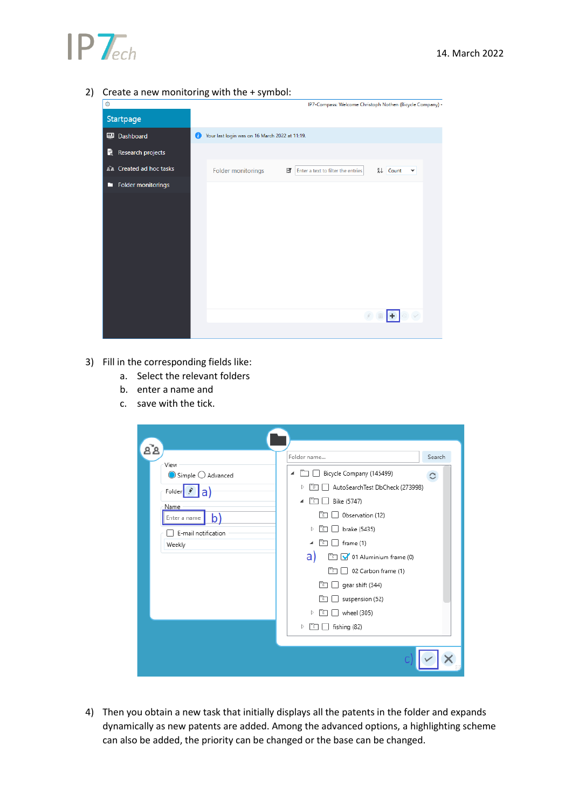

2) Create a new monitoring with the + symbol:



- 3) Fill in the corresponding fields like:
	- a. Select the relevant folders
	- b. enter a name and
	- c. save with the tick.

|                                                                                                             | Search<br>Folder name                                                                                                                                                |
|-------------------------------------------------------------------------------------------------------------|----------------------------------------------------------------------------------------------------------------------------------------------------------------------|
| View<br>$\bigcirc$ Simple $\bigcirc$ Advanced<br>Folder<br>Name<br>Enter a name<br>b<br>E-mail notification | Bicycle Company (145499)<br>◢<br>С<br>AutoSearchTest DbCheck (273998)<br>D<br>Bike (5747)<br>◢<br>ΓE<br>Observation (12)<br>m<br>brake (5435)<br>Þ<br>r'n<br>rn<br>◢ |
| Weekly                                                                                                      | frame (1)<br>a)<br>0) 3 V 01 Aluminium frame (0)<br>02 Carbon frame (1)<br>ħ<br>$\Box$ gear shift (344)<br>rig<br>suspension (52)<br>m<br>wheel (305)<br>Þ<br>rn     |
|                                                                                                             | m<br>fishing (82)<br>Þ                                                                                                                                               |

4) Then you obtain a new task that initially displays all the patents in the folder and expands dynamically as new patents are added. Among the advanced options, a highlighting scheme can also be added, the priority can be changed or the base can be changed.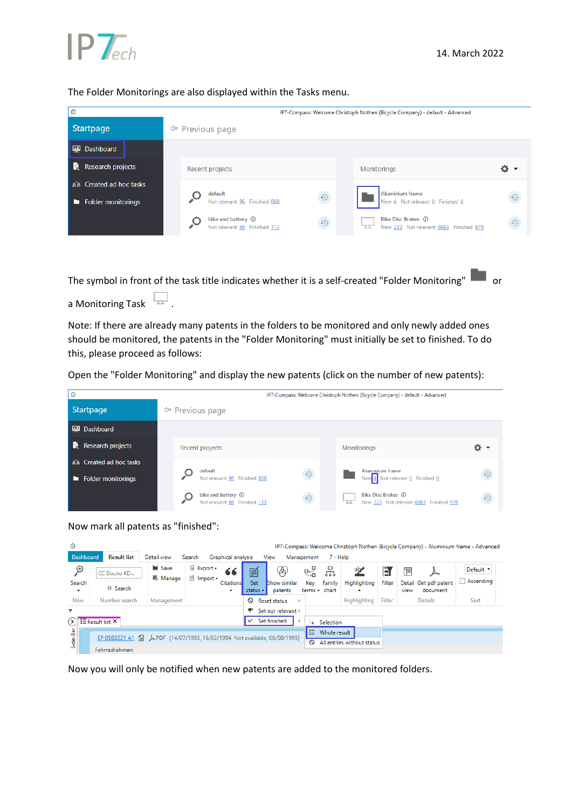

#### The Folder Monitorings are also displayed within the Tasks menu.

| $\circ$                        | IP7-Compass: Welcome Christoph Nothen (Bicycle Company) - default - Advanced |            |                                                                     |            |  |  |  |  |  |  |
|--------------------------------|------------------------------------------------------------------------------|------------|---------------------------------------------------------------------|------------|--|--|--|--|--|--|
| Startpage                      | <b><i><math>♦</math></i></b> Previous page                                   |            |                                                                     |            |  |  |  |  |  |  |
| $\mathbb{R}$<br>Dashboard      |                                                                              |            |                                                                     |            |  |  |  |  |  |  |
| H<br>Research projects         | Recent projects                                                              |            | Monitorings                                                         | o          |  |  |  |  |  |  |
| as Created ad hoc tasks        | default                                                                      |            | Aluminium frame                                                     |            |  |  |  |  |  |  |
| <b>Folder monitorings</b><br>œ | Not relevant 96 Finished 868                                                 | $\odot$    | New 4 Not relevant 0 Finished 0                                     | $\bigodot$ |  |  |  |  |  |  |
|                                | bike and battery (i)<br>Not relevant 66 Finished 113                         | $\bigcirc$ | Bike Disc Brakes (i)<br>ᅮ<br>New 233 Not relevant 6983 Finished 976 | $\Omega$   |  |  |  |  |  |  |
|                                |                                                                              |            |                                                                     |            |  |  |  |  |  |  |
|                                |                                                                              |            |                                                                     |            |  |  |  |  |  |  |

The symbol in front of the task title indicates whether it is a self-created "Folder Monitoring" and or

a Monitoring Task  $\Box$ .

Note: If there are already many patents in the folders to be monitored and only newly added ones should be monitored, the patents in the "Folder Monitoring" must initially be set to finished. To do this, please proceed as follows:

Open the "Folder Monitoring" and display the new patents (click on the number of new patents):

| $\bullet$                      |                                                      |                                | IP7-Compass: Welcome Christoph Nothen (Bicycle Company) - default - Advanced |           |  |  |  |
|--------------------------------|------------------------------------------------------|--------------------------------|------------------------------------------------------------------------------|-----------|--|--|--|
| Startpage                      | <b><i>∜</i></b> Previous page                        |                                |                                                                              |           |  |  |  |
| <b>Dashboard</b>               |                                                      |                                |                                                                              |           |  |  |  |
| H<br>Research projects         | Recent projects                                      |                                | <b>Monitorings</b><br>o<br>$\checkmark$                                      |           |  |  |  |
| as Created ad hoc tasks        | default                                              |                                | <b>Aluminium frame</b>                                                       |           |  |  |  |
| <b>Folder monitorings</b><br>П | Not relevant 96 Finished 868                         | $\odot$                        | New $\frac{4}{5}$ Not relevant $\frac{0}{5}$ Finished $\frac{0}{5}$          | $\odot$   |  |  |  |
|                                | bike and battery (i)<br>Not relevant 66 Finished 113 | $\textcircled{\scriptsize{1}}$ | Bike Disc Brakes (i)<br>ᅲ<br>New 233 Not relevant 6983 Finished 976          | $\bullet$ |  |  |  |

Now mark all patents as "finished":

| $\bullet$         |                                                |                                                           |                                                       |                       |                 |                                |              |                         |                            |        |                                           | IP7-Compass: Welcome Christoph Nothen (Bicycle Company) - Aluminium frame - Advanced |
|-------------------|------------------------------------------------|-----------------------------------------------------------|-------------------------------------------------------|-----------------------|-----------------|--------------------------------|--------------|-------------------------|----------------------------|--------|-------------------------------------------|--------------------------------------------------------------------------------------|
| Dashboard         | <b>Result list</b>                             | Detail view                                               | Search                                                | Graphical analysis    |                 | View                           | Management   | $? - Help$              |                            |        |                                           |                                                                                      |
| ዎ                 | CC Docno KD                                    | <b>■</b> Save<br>= Manage                                 | <sup>6</sup> Export <del>-</del><br><b>∆</b> Import • | 66                    | é               | ⊛                              | 냃            | 꿈                       | <u>ab/</u>                 | Ħ      | F<br>∼                                    | Default *                                                                            |
| Search<br>$\cdot$ | # Search                                       |                                                           |                                                       | <b>Citations</b><br>۰ | Set<br>status - | <b>Show similar</b><br>patents | Key          | Family<br>terms - chart | Highlighting               | Filter | Detail Get pdf patent<br>document<br>view | Ascending<br>$\mathbf{I}$                                                            |
| New               | Number search                                  | Management                                                |                                                       |                       | ଷ               | Reset status                   |              |                         | Highlighting               | Filter | <b>Details</b>                            | Sort                                                                                 |
| ₹                 |                                                |                                                           |                                                       |                       |                 | Set not relevant $\models$     |              |                         |                            |        |                                           |                                                                                      |
|                   | $\widehat{\triangleright}$ $\Xi$ Result list X |                                                           |                                                       |                       | ✓               | Set finished                   | ÷.           | Selection               |                            |        |                                           |                                                                                      |
| Side-Bar          | EP 0583221 A1 [x]                              | A PDF (14/07/1993, 16/02/1994, Not available, 08/08/1995) |                                                       |                       |                 |                                | E<br>$\circ$ | Whole result            | All entries without status |        |                                           |                                                                                      |
|                   | Fahrradrahmen.                                 |                                                           |                                                       |                       |                 |                                |              |                         |                            |        |                                           |                                                                                      |

Now you will only be notified when new patents are added to the monitored folders.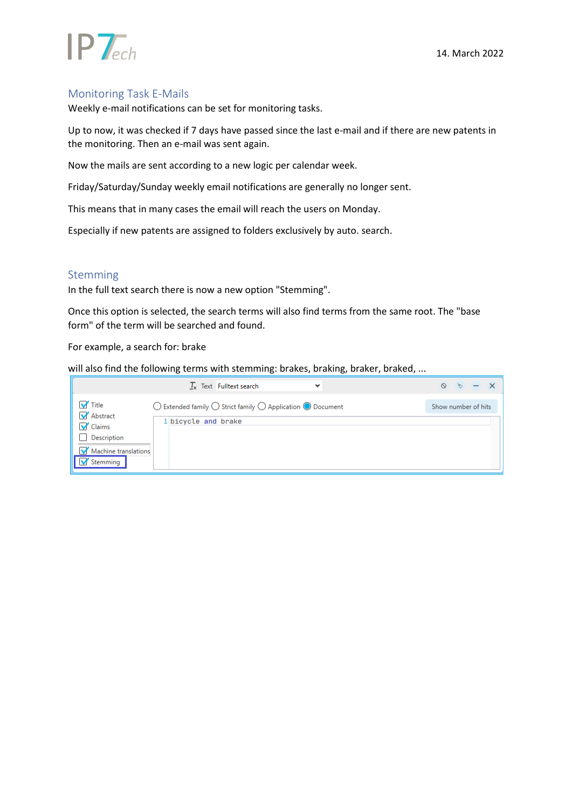

# $IP$   $\tau$ <sub>ech</sub>

#### <span id="page-4-0"></span>Monitoring Task E-Mails

Weekly e-mail notifications can be set for monitoring tasks.

Up to now, it was checked if 7 days have passed since the last e-mail and if there are new patents in the monitoring. Then an e-mail was sent again.

Now the mails are sent according to a new logic per calendar week.

Friday/Saturday/Sunday weekly email notifications are generally no longer sent.

This means that in many cases the email will reach the users on Monday.

Especially if new patents are assigned to folders exclusively by auto. search.

#### <span id="page-4-1"></span>Stemming

In the full text search there is now a new option "Stemming".

Once this option is selected, the search terms will also find terms from the same root. The "base form" of the term will be searched and found.

For example, a search for: brake

will also find the following terms with stemming: brakes, braking, braker, braked, ...

|                                                                                           | Text Fulltext search<br>$\mathbf{I}_{\mathbf{v}}$<br>$\checkmark$                                                     | $\circ$<br>$-$<br>$\mathcal{L}_{\mathcal{F}}$ |
|-------------------------------------------------------------------------------------------|-----------------------------------------------------------------------------------------------------------------------|-----------------------------------------------|
| <b>V</b> Title<br>Abstract<br><b>V</b> Claims<br>Description<br>Machine translations<br>M | $\bigcirc$ Extended family $\bigcirc$ Strict family $\bigcirc$ Application $\bigcirc$ Document<br>1 bicycle and brake | Show number of hits                           |
| Stemming                                                                                  |                                                                                                                       |                                               |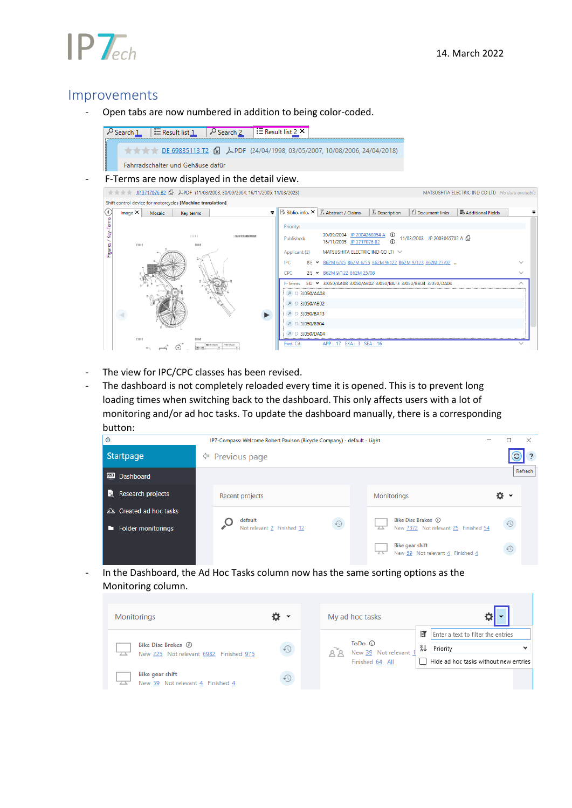# $IP$   $\tau$

### <span id="page-5-0"></span>Improvements

- Open tabs are now numbered in addition to being color-coded.

| Search 1 |                                   | $\exists$ Result list $1 \cup P$ Search $2 \cup \exists$ Result list 2 X |                                                                                               |
|----------|-----------------------------------|--------------------------------------------------------------------------|-----------------------------------------------------------------------------------------------|
|          |                                   |                                                                          | <b>EXECUTE:</b> DE 69835113 T2 <b>R</b> APDF (24/04/1998, 03/05/2007, 10/08/2006, 24/04/2018) |
|          | Fahrradschalter und Gehäuse dafür |                                                                          |                                                                                               |

- F-Terms are now displayed in the detail view.

| $\frac{1}{2}$ P 3717076 B2 $\frac{1}{2}$ APDF (11/03/2003, 30/09/2004, 16/11/2005, 11/03/2023)<br>MATSUSHITA ELECTRIC IND CO LTD No data available |         |        |        |           |                                                            |            |                  |                                                                        |                                        |                              |                            |              |
|----------------------------------------------------------------------------------------------------------------------------------------------------|---------|--------|--------|-----------|------------------------------------------------------------|------------|------------------|------------------------------------------------------------------------|----------------------------------------|------------------------------|----------------------------|--------------|
|                                                                                                                                                    |         |        |        |           | Shift control device for motorcycles [Machine translation] |            |                  |                                                                        |                                        |                              |                            |              |
| $(\mathbf{\langle}$                                                                                                                                | Image X |        | Mosaic | Key terms |                                                            | $\equiv$   |                  | $\mathbb{B}$ Biblio. info. $\times$ $\mathbb{I}_{x}$ Abstract / Claims | $\mathcal{T}_{\mathsf{x}}$ Description | Document links               | <b>M</b> Additional Fields |              |
| Key-Terms                                                                                                                                          |         |        |        |           |                                                            |            | Priority:        |                                                                        |                                        |                              |                            |              |
|                                                                                                                                                    |         | E DE13 |        | (13)      | 0001                                                       | (輸出用支援制御装置 | Published:       | 30/09/2004 JP 2004268854 A<br>16/11/2005 JP 3717076 B2                 | $^{\circ}$<br>$\mathcal{F}$            | 11/03/2003 JP 2003065702 A C |                            |              |
| Figures                                                                                                                                            |         |        |        |           |                                                            |            | Applicant (2)    | MATSUSHITA ELECTRIC IND CO LTI V                                       |                                        |                              |                            |              |
|                                                                                                                                                    |         |        |        |           |                                                            |            | <b>IPC</b>       | 8E > B62M 6/45 B62M 6/55 B62M 9/122 B62M 9/123 B62M 23/02              |                                        |                              |                            |              |
|                                                                                                                                                    |         |        |        |           |                                                            |            | CPC.             | 2S - B62M 9/122 B62M 25/08                                             |                                        |                              |                            | $\checkmark$ |
|                                                                                                                                                    |         |        |        |           |                                                            |            | F-Terms          | 5D - 3J050/AA08 3J050/AB02 3J050/BA13 3J050/BB04 3J050/DA04            |                                        |                              |                            | ⌒            |
|                                                                                                                                                    |         |        |        |           |                                                            |            | P D 3J050/AA08   |                                                                        |                                        |                              |                            |              |
|                                                                                                                                                    |         |        |        |           |                                                            |            | P D 3J050/AB02   |                                                                        |                                        |                              |                            |              |
|                                                                                                                                                    |         |        |        |           |                                                            |            | $P$ D 3J050/BA13 |                                                                        |                                        |                              |                            |              |
|                                                                                                                                                    |         |        |        |           |                                                            |            | D 3J050/BB04     |                                                                        |                                        |                              |                            |              |
|                                                                                                                                                    |         | 1001   |        |           | [1341]                                                     |            | P D 3J050/DA04   |                                                                        |                                        |                              |                            |              |
|                                                                                                                                                    |         |        |        |           | <b>Bishki Charles</b><br>$-18 - 18$                        |            | Fwd. Cit.        | APP:<br>EXA:                                                           | <b>SEA: 16</b>                         |                              |                            |              |

- The view for IPC/CPC classes has been revised.
- The dashboard is not completely reloaded every time it is opened. This is to prevent long loading times when switching back to the dashboard. This only affects users with a lot of monitoring and/or ad hoc tasks. To update the dashboard manually, there is a corresponding button:

| $\circ$      | IP7-Compass: Welcome Robert Paulson (Bicycle Company) - default - Light |                               |  |                            |            |  |  |                                                            |  |                                |         |
|--------------|-------------------------------------------------------------------------|-------------------------------|--|----------------------------|------------|--|--|------------------------------------------------------------|--|--------------------------------|---------|
|              | Startpage                                                               | <b><i>∜</i></b> Previous page |  |                            |            |  |  |                                                            |  |                                | C<br>?  |
| $\mathbf{a}$ | Dashboard                                                               |                               |  |                            |            |  |  |                                                            |  |                                | Refresh |
| Ħ            | Research projects                                                       |                               |  | Recent projects            |            |  |  | <b>Monitorings</b>                                         |  | ¤۰                             |         |
|              | as Created ad hoc tasks                                                 |                               |  | default                    |            |  |  | Bike Disc Brakes (i)                                       |  |                                |         |
| ш            | <b>Folder monitorings</b>                                               |                               |  | Not relevant 2 Finished 12 | $\bigcirc$ |  |  | New 7372 Not relevant 25 Finished 54                       |  | $\curvearrowleft$              |         |
|              |                                                                         |                               |  |                            |            |  |  | <b>Bike gear shift</b><br>New 59 Not relevant 4 Finished 4 |  | $\textcircled{\scriptsize{1}}$ |         |

- In the Dashboard, the Ad Hoc Tasks column now has the same sorting options as the Monitoring column.

| <b>Monitorings</b>                                             |     | My ad hoc tasks |  |                                 |                     |                                       |  |  |
|----------------------------------------------------------------|-----|-----------------|--|---------------------------------|---------------------|---------------------------------------|--|--|
|                                                                |     |                 |  |                                 | ET                  | Enter a text to filter the entries    |  |  |
| Bike Disc Brakes (i)<br>New 225 Not relevant 6982 Finished 975 | FL) |                 |  | ToDo (i)<br>New 39 Not relevant | $\frac{z}{\Lambda}$ | Priority                              |  |  |
|                                                                |     |                 |  | Finished 64 All                 |                     | Hide ad hoc tasks without new entries |  |  |
| <b>Bike gear shift</b><br>New 59 Not relevant 4 Finished 4     |     |                 |  |                                 |                     |                                       |  |  |